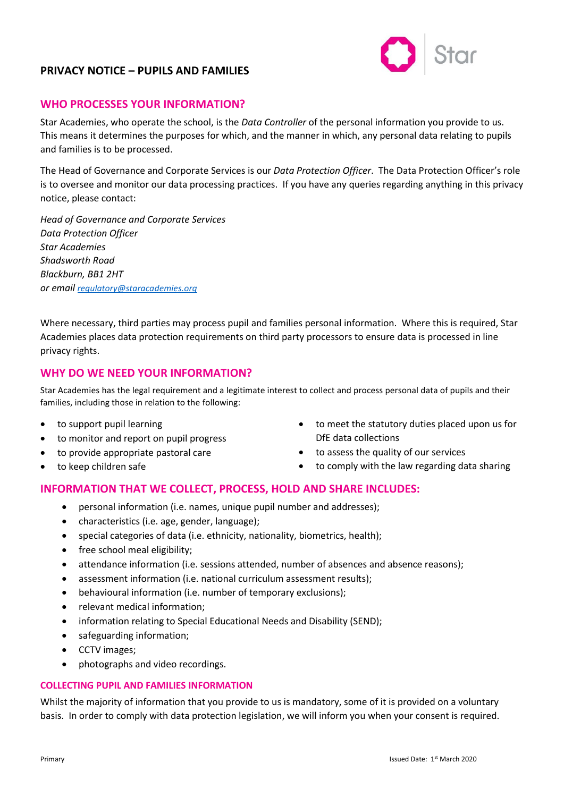# **PRIVACY NOTICE – PUPILS AND FAMILIES**



### **WHO PROCESSES YOUR INFORMATION?**

Star Academies, who operate the school, is the *Data Controller* of the personal information you provide to us. This means it determines the purposes for which, and the manner in which, any personal data relating to pupils and families is to be processed.

The Head of Governance and Corporate Services is our *Data Protection Officer*. The Data Protection Officer's role is to oversee and monitor our data processing practices. If you have any queries regarding anything in this privacy notice, please contact:

*Head of Governance and Corporate Services Data Protection Officer Star Academies Shadsworth Road Blackburn, BB1 2HT or email [regulatory@staracademies.org](mailto:regulatory@staracademies.org)*

Where necessary, third parties may process pupil and families personal information. Where this is required, Star Academies places data protection requirements on third party processors to ensure data is processed in line privacy rights.

### **WHY DO WE NEED YOUR INFORMATION?**

Star Academies has the legal requirement and a legitimate interest to collect and process personal data of pupils and their families, including those in relation to the following:

- to support pupil learning
- to monitor and report on pupil progress
- to provide appropriate pastoral care
- to keep children safe
- to meet the statutory duties placed upon us for DfE data collections
- to assess the quality of our services
- to comply with the law regarding data sharing

## **INFORMATION THAT WE COLLECT, PROCESS, HOLD AND SHARE INCLUDES:**

- personal information (i.e. names, unique pupil number and addresses);
- characteristics (i.e. age, gender, language);
- special categories of data (i.e. ethnicity, nationality, biometrics, health);
- free school meal eligibility;
- attendance information (i.e. sessions attended, number of absences and absence reasons);
- assessment information (i.e. national curriculum assessment results);
- behavioural information (i.e. number of temporary exclusions);
- relevant medical information;
- information relating to Special Educational Needs and Disability (SEND);
- safeguarding information;
- CCTV images;
- photographs and video recordings.

#### **COLLECTING PUPIL AND FAMILIES INFORMATION**

Whilst the majority of information that you provide to us is mandatory, some of it is provided on a voluntary basis. In order to comply with data protection legislation, we will inform you when your consent is required.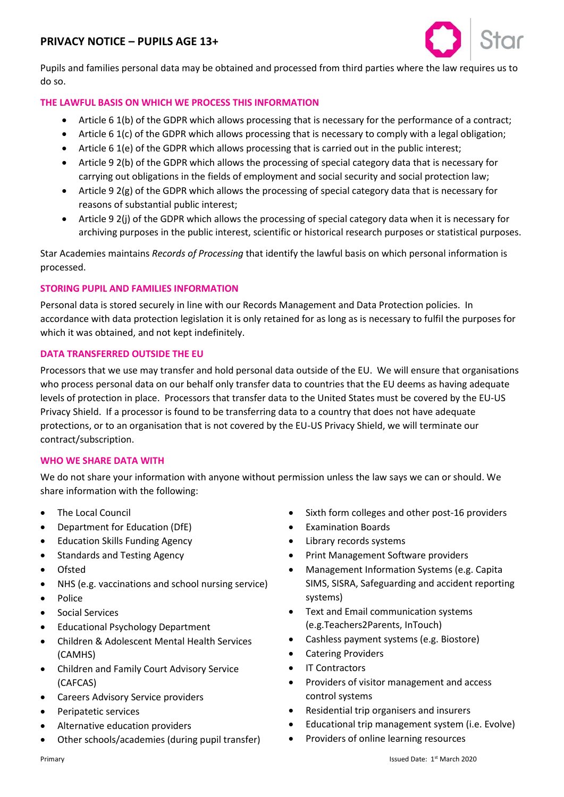## **PRIVACY NOTICE – PUPILS AGE 13+**



Pupils and families personal data may be obtained and processed from third parties where the law requires us to do so.

#### **THE LAWFUL BASIS ON WHICH WE PROCESS THIS INFORMATION**

- Article 6 1(b) of the GDPR which allows processing that is necessary for the performance of a contract;
- Article 6 1(c) of the GDPR which allows processing that is necessary to comply with a legal obligation;
- Article 6 1(e) of the GDPR which allows processing that is carried out in the public interest;
- Article 9 2(b) of the GDPR which allows the processing of special category data that is necessary for carrying out obligations in the fields of employment and social security and social protection law;
- Article 9 2(g) of the GDPR which allows the processing of special category data that is necessary for reasons of substantial public interest;
- Article 9 2(j) of the GDPR which allows the processing of special category data when it is necessary for archiving purposes in the public interest, scientific or historical research purposes or statistical purposes.

Star Academies maintains *Records of Processing* that identify the lawful basis on which personal information is processed.

#### **STORING PUPIL AND FAMILIES INFORMATION**

Personal data is stored securely in line with our Records Management and Data Protection policies. In accordance with data protection legislation it is only retained for as long as is necessary to fulfil the purposes for which it was obtained, and not kept indefinitely.

#### **DATA TRANSFERRED OUTSIDE THE EU**

Processors that we use may transfer and hold personal data outside of the EU. We will ensure that organisations who process personal data on our behalf only transfer data to countries that the EU deems as having adequate levels of protection in place. Processors that transfer data to the United States must be covered by the EU-US Privacy Shield. If a processor is found to be transferring data to a country that does not have adequate protections, or to an organisation that is not covered by the EU-US Privacy Shield, we will terminate our contract/subscription.

#### **WHO WE SHARE DATA WITH**

We do not share your information with anyone without permission unless the law says we can or should. We share information with the following:

- The Local Council
- Department for Education (DfE)
- Education Skills Funding Agency
- Standards and Testing Agency
- Ofsted
- NHS (e.g. vaccinations and school nursing service)
- Police
- Social Services
- Educational Psychology Department
- Children & Adolescent Mental Health Services (CAMHS)
- Children and Family Court Advisory Service (CAFCAS)
- Careers Advisory Service providers
- Peripatetic services
- Alternative education providers
- Other schools/academies (during pupil transfer)
- Sixth form colleges and other post-16 providers
- Examination Boards
- Library records systems
- Print Management Software providers
- Management Information Systems (e.g. Capita SIMS, SISRA, Safeguarding and accident reporting systems)
- Text and Email communication systems (e.g.Teachers2Parents, InTouch)
- Cashless payment systems (e.g. Biostore)
- Catering Providers
- **IT Contractors**
- Providers of visitor management and access control systems
- Residential trip organisers and insurers
- Educational trip management system (i.e. Evolve)
- Providers of online learning resources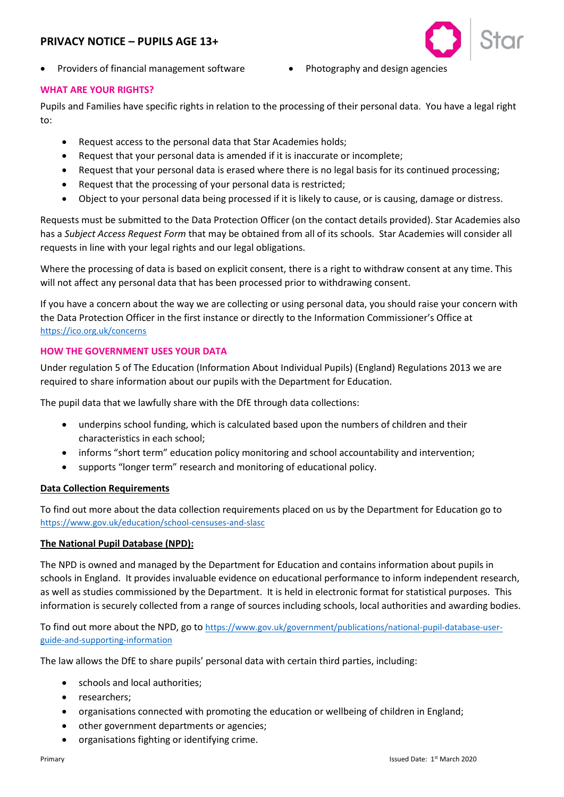## **PRIVACY NOTICE – PUPILS AGE 13+**



- Providers of financial management software Photography and design agencies
	-

#### **WHAT ARE YOUR RIGHTS?**

Pupils and Families have specific rights in relation to the processing of their personal data. You have a legal right to:

- Request access to the personal data that Star Academies holds;
- Request that your personal data is amended if it is inaccurate or incomplete;
- Request that your personal data is erased where there is no legal basis for its continued processing;
- Request that the processing of your personal data is restricted;
- Object to your personal data being processed if it is likely to cause, or is causing, damage or distress.

Requests must be submitted to the Data Protection Officer (on the contact details provided). Star Academies also has a *Subject Access Request Form* that may be obtained from all of its schools. Star Academies will consider all requests in line with your legal rights and our legal obligations.

Where the processing of data is based on explicit consent, there is a right to withdraw consent at any time. This will not affect any personal data that has been processed prior to withdrawing consent.

If you have a concern about the way we are collecting or using personal data, you should raise your concern with the Data Protection Officer in the first instance or directly to the Information Commissioner's Office at <https://ico.org.uk/concerns>

### **HOW THE GOVERNMENT USES YOUR DATA**

Under regulation 5 of The Education (Information About Individual Pupils) (England) Regulations 2013 we are required to share information about our pupils with the Department for Education.

The pupil data that we lawfully share with the DfE through data collections:

- underpins school funding, which is calculated based upon the numbers of children and their characteristics in each school;
- informs "short term" education policy monitoring and school accountability and intervention;
- supports "longer term" research and monitoring of educational policy.

#### **Data Collection Requirements**

To find out more about the data collection requirements placed on us by the Department for Education go to <https://www.gov.uk/education/school-censuses-and-slasc>

#### **The National Pupil Database (NPD):**

The NPD is owned and managed by the Department for Education and contains information about pupils in schools in England. It provides invaluable evidence on educational performance to inform independent research, as well as studies commissioned by the Department. It is held in electronic format for statistical purposes. This information is securely collected from a range of sources including schools, local authorities and awarding bodies.

To find out more about the NPD, go to [https://www.gov.uk/government/publications/national-pupil-database-user](https://www.gov.uk/government/publications/national-pupil-database-user-guide-and-supporting-information)[guide-and-supporting-information](https://www.gov.uk/government/publications/national-pupil-database-user-guide-and-supporting-information)

The law allows the DfE to share pupils' personal data with certain third parties, including:

- schools and local authorities;
- researchers;
- organisations connected with promoting the education or wellbeing of children in England;
- other government departments or agencies;
- organisations fighting or identifying crime.